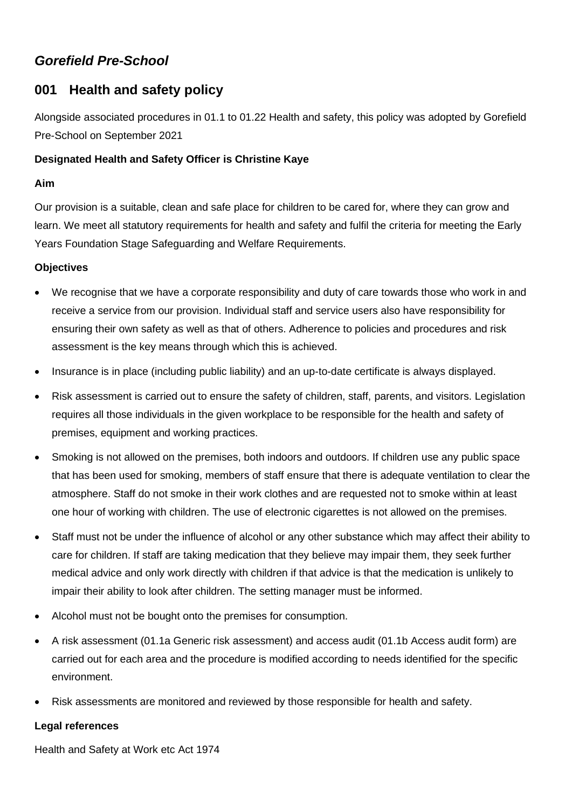# *Gorefield Pre-School*

## **001 Health and safety policy**

Alongside associated procedures in 01.1 to 01.22 Health and safety, this policy was adopted by Gorefield Pre-School on September 2021

### **Designated Health and Safety Officer is Christine Kaye**

#### **Aim**

Our provision is a suitable, clean and safe place for children to be cared for, where they can grow and learn. We meet all statutory requirements for health and safety and fulfil the criteria for meeting the Early Years Foundation Stage Safeguarding and Welfare Requirements.

## **Objectives**

- We recognise that we have a corporate responsibility and duty of care towards those who work in and receive a service from our provision. Individual staff and service users also have responsibility for ensuring their own safety as well as that of others. Adherence to policies and procedures and risk assessment is the key means through which this is achieved.
- Insurance is in place (including public liability) and an up-to-date certificate is always displayed.
- Risk assessment is carried out to ensure the safety of children, staff, parents, and visitors. Legislation requires all those individuals in the given workplace to be responsible for the health and safety of premises, equipment and working practices.
- Smoking is not allowed on the premises, both indoors and outdoors. If children use any public space that has been used for smoking, members of staff ensure that there is adequate ventilation to clear the atmosphere. Staff do not smoke in their work clothes and are requested not to smoke within at least one hour of working with children. The use of electronic cigarettes is not allowed on the premises.
- Staff must not be under the influence of alcohol or any other substance which may affect their ability to care for children. If staff are taking medication that they believe may impair them, they seek further medical advice and only work directly with children if that advice is that the medication is unlikely to impair their ability to look after children. The setting manager must be informed.
- Alcohol must not be bought onto the premises for consumption.
- A risk assessment (01.1a Generic risk assessment) and access audit (01.1b Access audit form) are carried out for each area and the procedure is modified according to needs identified for the specific environment.
- Risk assessments are monitored and reviewed by those responsible for health and safety.

#### **Legal references**

Health and Safety at Work etc Act 1974